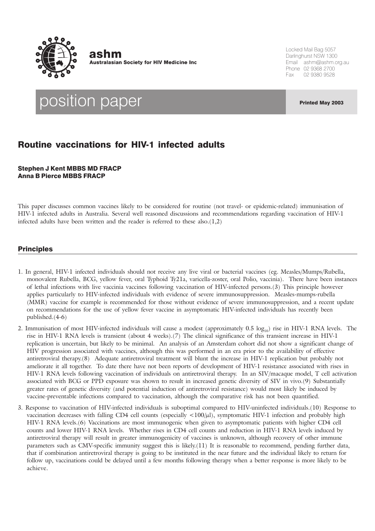

ashm **Australasian Society for HIV Medicine Inc**  Locked Mail Bag 5057 Darlinghurst NSW 1300 Email ashm@ashm.org.au Phone 02 9368 2700 Fax 02 9380 9528

position paper Printed May 2003

# Routine vaccinations for HIV-1 infected adults

Stephen J Kent MBBS MD FRACP Anna B Pierce MBBS FRACP

This paper discusses common vaccines likely to be considered for routine (not travel- or epidemic-related) immunisation of HIV-1 infected adults in Australia. Several well reasoned discussions and recommendations regarding vaccination of HIV-1 infected adults have been written and the reader is referred to these also. $(1,2)$ 

## **Principles**

- 1. In general, HIV-1 infected individuals should not receive any live viral or bacterial vaccines (eg. Measles/Mumps/Rubella, monovalent Rubella, BCG, yellow fever, oral Typhoid Ty21a, varicella-zoster, oral Polio, vaccinia). There have been instances of lethal infections with live vaccinia vaccines following vaccination of HIV-infected persons.(3) This principle however applies particularly to HIV-infected individuals with evidence of severe immunosuppression. Measles-mumps-rubella (MMR) vaccine for example is recommended for those without evidence of severe immunosuppression, and a recent update on recommendations for the use of yellow fever vaccine in asymptomatic HIV-infected individuals has recently been published.(4-6)
- 2. Immunisation of most HIV-infected individuals will cause a modest (approximately  $0.5 \log_{10}$ ) rise in HIV-1 RNA levels. The rise in HIV-1 RNA levels is transient (about 4 weeks).(7) The clinical significance of this transient increase in HIV-1 replication is uncertain, but likely to be minimal. An analysis of an Amsterdam cohort did not show a significant change of HIV progression associated with vaccines, although this was performed in an era prior to the availability of effective antiretroviral therapy.(8) Adequate antiretroviral treatment will blunt the increase in HIV-1 replication but probably not ameliorate it all together. To date there have not been reports of development of HIV-1 resistance associated with rises in HIV-1 RNA levels following vaccination of individuals on antiretroviral therapy. In an SIV/macaque model, T cell activation associated with BCG or PPD exposure was shown to result in increased genetic diversity of SIV in vivo.(9) Substantially greater rates of genetic diversity (and potential induction of antiretroviral resistance) would most likely be induced by vaccine-preventable infections compared to vaccination, although the comparative risk has not been quantified.
- 3. Response to vaccination of HIV-infected individuals is suboptimal compared to HIV-uninfected individuals.(10) Response to vaccination decreases with falling CD4 cell counts (especially <100/µl), symptomatic HIV-1 infection and probably high HIV-1 RNA levels.(6) Vaccinations are most immunogenic when given to asymptomatic patients with higher CD4 cell counts and lower HIV-1 RNA levels. Whether rises in CD4 cell counts and reduction in HIV-1 RNA levels induced by antiretroviral therapy will result in greater immunogenicity of vaccines is unknown, although recovery of other immune parameters such as CMV-specific immunity suggest this is likely.(11) It is reasonable to recommend, pending further data, that if combination antiretroviral therapy is going to be instituted in the near future and the individual likely to return for follow up, vaccinations could be delayed until a few months following therapy when a better response is more likely to be achieve.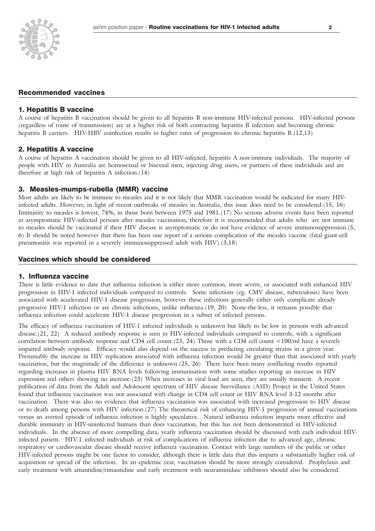## Recommended vaccines

#### 1. Hepatitis B vaccine

A course of hepatitis B vaccination should be given to all hepatitis B non-immune HIV-infected persons. HIV-infected persons (regardless of route of transmission) are at a higher risk of both contracting hepatitis B infection and becoming chronic hepatitis B carriers. HIV-HBV coinfection results in higher rates of progression to chronic hepatitis B.(12,13)

#### 2. Hepatitis A vaccine

A course of hepatitis A vaccination should be given to all HIV-infected, hepatitis A non-immune individuals. The majority of people with HIV in Australia are homosexual or bisexual men, injecting drug users, or partners of these individuals and are therefore at high risk of hepatitis A infection.(14)

#### 3. Measles-mumps-rubella (MMR) vaccine

Most adults are likely to be immune to measles and it is not likely that MMR vaccination would be indicated for many HIVinfected adults. However, in light of recent outbreaks of measles in Australia, this issue does need to be considered.(15, 16) Immunity to measles is lowest, 74%, in those born between 1975 and 1981.(17) No serious adverse events have been reported in asymptomatic HIV-infected persons after measles vaccination, therefore it is recommended that adults who are not immune to measles should be vaccinated if their HIV disease is asymptomatic or do not have evidence of severe immunosuppression.(5, 6) It should be noted however that there has been one report of a serious complication of the measles vaccine (fatal giant-cell pneumonitis was reported in a severely immunosuppressed adult with HIV).(3,18)

### Vaccines which should be considered

#### 1. Influenza vaccine

There is little evidence to date that influenza infection is either more common, more severe, or associated with enhanced HIV progression in HIV-1 infected individuals compared to controls. Some infections (eg. CMV disease, tuberculosis) have been associated with accelerated HIV-1 disease progression, however these infections generally either only complicate already progressive HIV-1 infection or are chronic infections, unlike influenza.(19, 20) None-the-less, it remains possible that influenza infection could accelerate HIV-1 disease progression in a subset of infected persons.

The efficacy of influenza vaccination of HIV-1 infected individuals is unknown but likely to be low in persons with advanced disease.(21, 22) A reduced antibody response is seen in HIV-infected individuals compared to controls, with a significant correlation between antibody response and CD4 cell count.(23, 24) Those with a CD4 cell count <100/ml have a severely impaired antibody response. Efficacy would also depend on the success in predicting circulating strains in a given year. Presumably the increase in HIV replication associated with influenza infection would be greater than that associated with yearly vaccination, but the magnitude of the difference is unknown.(25, 26) There have been many conflicting results reported regarding increases in plasma HIV RNA levels following immunisation with some studies reporting an increase in HIV expression and others showing no increase.(23) When increases in viral load are seen, they are usually transient. A recent publication of data from the Adult and Adolescent spectrum of HIV disease Surveillance (ASD) Project in the United States found that influenza vaccination was not associated with change in CD4 cell count or HIV RNA level 3-12 months after vaccination. There was also no evidence that influenza vaccination was associated with increased progression to HIV disease or to death among persons with HIV infection.(27) The theoretical risk of enhancing HIV-1 progression of annual vaccinations versus an averted episode of influenza infection is highly speculative. Natural influenza infection imparts more effective and durable immunity in HIV-uninfected humans than does vaccination, but this has not been demonstrated in HIV-infected individuals. In the absence of more compelling data, yearly influenza vaccination should be discussed with each individual HIVinfected patient. HIV-1 infected individuals at risk of complications of influenza infection due to advanced age, chronic respiratory or cardiovascular disease should receive influenza vaccination. Contact with large numbers of the public or other HIV-infected persons might be one factor to consider, although there is little data that this imparts a substantially higher risk of acquisition or spread of the infection. In an epidemic year, vaccination should be more strongly considered. Prophylaxis and early treatment with amantidine/rimantidine and early treatment with neuraminidase inhibitors should also be considered.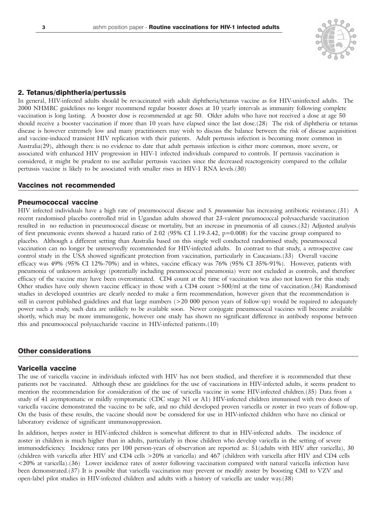

## 2. Tetanus/diphtheria/pertussis

In general, HIV-infected adults should be revaccinated with adult diphtheria/tetanus vaccine as for HIV-uninfected adults. The 2000 NHMRC guidelines no longer recommend regular booster doses at 10 yearly intervals as immunity following complete vaccination is long lasting. A booster dose is recommended at age 50. Older adults who have not received a dose at age 50 should receive a booster vaccination if more than 10 years have elapsed since the last dose.(28) The risk of diphtheria or tetanus disease is however extremely low and many practitioners may wish to discuss the balance between the risk of disease acquisition and vaccine-induced transient HIV replication with their patients. Adult pertussis infection is becoming more common in Australia(29), although there is no evidence to date that adult pertussis infection is either more common, more severe, or associated with enhanced HIV progression in HIV-1 infected individuals compared to controls. If pertussis vaccination is considered, it might be prudent to use acellular pertussis vaccines since the decreased reactogenicity compared to the cellular pertussis vaccine is likely to be associated with smaller rises in HIV-1 RNA levels.(30)

### Vaccines not recommended

#### Pneumococcal vaccine

HIV infected individuals have a high rate of pneumococcal disease and *S. pneumoniae* has increasing antibiotic resistance.(31) A recent randomised placebo controlled trial in Ugandan adults showed that 23-valent pneumococcal polysaccharide vaccination resulted in no reduction in pneumococcal disease or mortality, but an increase in pneumonia of all causes.(32) Adjusted analysis of first pneumonic events showed a hazard ratio of 2.02 (95% CI 1.19-3.42, p=0.008) for the vaccine group compared to placebo. Although a different setting than Australia based on this single well conducted randomised study, pneumococcal vaccination can no longer be unreservedly recommended for HIV-infected adults. In contrast to that study, a retrospective case control study in the USA showed significant protection from vaccination, particularly in Caucasians.(33) Overall vaccine efficacy was 49% (95% CI 12%-70%) and in whites, vaccine efficacy was 76% (95% CI 35%-91%). However, patients with pneumonia of unknown aetiology (potentially including pneumococcal pneumonia) were not excluded as controls, and therefore efficacy of the vaccine may have been overestimated. CD4 count at the time of vaccination was also not known for this study. Other studies have only shown vaccine efficacy in those with a CD4 count >500/ml at the time of vaccination.(34) Randomised studies in developed countries are clearly needed to make a firm recommendation, however given that the recommendation is still in current published guidelines and that large numbers (>20 000 person years of follow-up) would be required to adequately power such a study, such data are unlikely to be available soon. Newer conjugate pneumococcal vaccines will become available shortly, which may be more immunogenic, however one study has shown no significant difference in antibody response between this and pneumococcal polysaccharide vaccine in HIV-infected patients.(10)

## Other considerations

## Varicella vaccine

The use of varicella vaccine in individuals infected with HIV has not been studied, and therefore it is recommended that these patients not be vaccinated. Although these are guidelines for the use of vaccinations in HIV-infected adults, it seems prudent to mention the recommendation for consideration of the use of varicella vaccine in some HIV-infected children.(35) Data from a study of 41 asymptomatic or mildly symptomatic (CDC stage N1 or A1) HIV-infected children immunised with two doses of varicella vaccine demonstrated the vaccine to be safe, and no child developed proven varicella or zoster in two years of follow-up. On the basis of these results, the vaccine should now be considered for use in HIV-infected children who have no clinical or laboratory evidence of significant immunosuppression.

In addition, herpes zoster in HIV-infected children is somewhat different to that in HIV-infected adults. The incidence of zoster in children is much higher than in adults, particularly in those children who develop varicella in the setting of severe immunodeficiency. Incidence rates per 100 person-years of observation are reported as: 51(adults with HIV after varicella), 30 (children with varicella after HIV and CD4 cells >20% at varicella) and 467 (children with varicella after HIV and CD4 cells <20% at varicella).(36) Lower incidence rates of zoster following vaccination compared with natural varicella infection have been demonstrated.(37) It is possible that varicella vaccination may prevent or modify zoster by boosting CMI to VZV and open-label pilot studies in HIV-infected children and adults with a history of varicella are under way.(38)